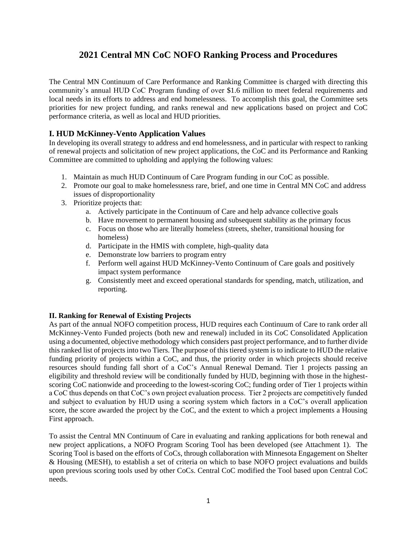## **2021 Central MN CoC NOFO Ranking Process and Procedures**

The Central MN Continuum of Care Performance and Ranking Committee is charged with directing this community's annual HUD CoC Program funding of over \$1.6 million to meet federal requirements and local needs in its efforts to address and end homelessness. To accomplish this goal, the Committee sets priorities for new project funding, and ranks renewal and new applications based on project and CoC performance criteria, as well as local and HUD priorities.

## **I. HUD McKinney-Vento Application Values**

In developing its overall strategy to address and end homelessness, and in particular with respect to ranking of renewal projects and solicitation of new project applications, the CoC and its Performance and Ranking Committee are committed to upholding and applying the following values:

- 1. Maintain as much HUD Continuum of Care Program funding in our CoC as possible.
- 2. Promote our goal to make homelessness rare, brief, and one time in Central MN CoC and address issues of disproportionality
- 3. Prioritize projects that:
	- a. Actively participate in the Continuum of Care and help advance collective goals
	- b. Have movement to permanent housing and subsequent stability as the primary focus
	- c. Focus on those who are literally homeless (streets, shelter, transitional housing for homeless)
	- d. Participate in the HMIS with complete, high-quality data
	- e. Demonstrate low barriers to program entry
	- f. Perform well against HUD McKinney-Vento Continuum of Care goals and positively impact system performance
	- g. Consistently meet and exceed operational standards for spending, match, utilization, and reporting.

## **II. Ranking for Renewal of Existing Projects**

As part of the annual NOFO competition process, HUD requires each Continuum of Care to rank order all McKinney-Vento Funded projects (both new and renewal) included in its CoC Consolidated Application using a documented, objective methodology which considers past project performance, and to further divide this ranked list of projects into two Tiers. The purpose of this tiered system is to indicate to HUD the relative funding priority of projects within a CoC, and thus, the priority order in which projects should receive resources should funding fall short of a CoC's Annual Renewal Demand. Tier 1 projects passing an eligibility and threshold review will be conditionally funded by HUD, beginning with those in the highestscoring CoC nationwide and proceeding to the lowest-scoring CoC; funding order of Tier 1 projects within a CoC thus depends on that CoC's own project evaluation process. Tier 2 projects are competitively funded and subject to evaluation by HUD using a scoring system which factors in a CoC's overall application score, the score awarded the project by the CoC, and the extent to which a project implements a Housing First approach.

To assist the Central MN Continuum of Care in evaluating and ranking applications for both renewal and new project applications, a NOFO Program Scoring Tool has been developed (see Attachment 1). The Scoring Tool is based on the efforts of CoCs, through collaboration with Minnesota Engagement on Shelter & Housing (MESH), to establish a set of criteria on which to base NOFO project evaluations and builds upon previous scoring tools used by other CoCs. Central CoC modified the Tool based upon Central CoC needs.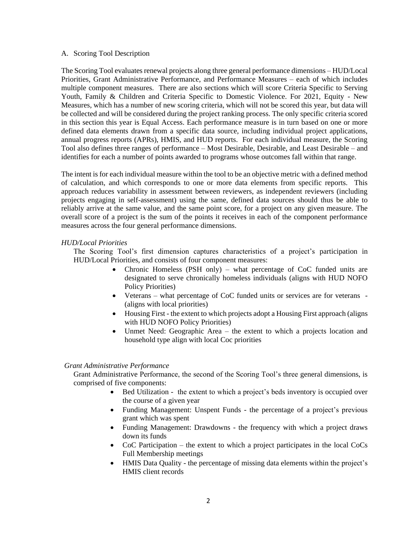#### A. Scoring Tool Description

The Scoring Tool evaluates renewal projects along three general performance dimensions – HUD/Local Priorities, Grant Administrative Performance, and Performance Measures – each of which includes multiple component measures. There are also sections which will score Criteria Specific to Serving Youth, Family & Children and Criteria Specific to Domestic Violence. For 2021, Equity - New Measures, which has a number of new scoring criteria, which will not be scored this year, but data will be collected and will be considered during the project ranking process. The only specific criteria scored in this section this year is Equal Access. Each performance measure is in turn based on one or more defined data elements drawn from a specific data source, including individual project applications, annual progress reports (APRs), HMIS, and HUD reports. For each individual measure, the Scoring Tool also defines three ranges of performance – Most Desirable, Desirable, and Least Desirable – and identifies for each a number of points awarded to programs whose outcomes fall within that range.

The intent is for each individual measure within the tool to be an objective metric with a defined method of calculation, and which corresponds to one or more data elements from specific reports. This approach reduces variability in assessment between reviewers, as independent reviewers (including projects engaging in self-assessment) using the same, defined data sources should thus be able to reliably arrive at the same value, and the same point score, for a project on any given measure. The overall score of a project is the sum of the points it receives in each of the component performance measures across the four general performance dimensions.

#### *HUD/Local Priorities*

The Scoring Tool's first dimension captures characteristics of a project's participation in HUD/Local Priorities, and consists of four component measures:

- Chronic Homeless (PSH only) what percentage of CoC funded units are designated to serve chronically homeless individuals (aligns with HUD NOFO Policy Priorities)
- Veterans what percentage of CoC funded units or services are for veterans (aligns with local priorities)
- Housing First the extent to which projects adopt a Housing First approach (aligns with HUD NOFO Policy Priorities)
- Unmet Need: Geographic Area the extent to which a projects location and household type align with local Coc priorities

#### *Grant Administrative Performance*

Grant Administrative Performance, the second of the Scoring Tool's three general dimensions, is comprised of five components:

- Bed Utilization the extent to which a project's beds inventory is occupied over the course of a given year
- Funding Management: Unspent Funds the percentage of a project's previous grant which was spent
- Funding Management: Drawdowns the frequency with which a project draws down its funds
- CoC Participation the extent to which a project participates in the local CoCs Full Membership meetings
- HMIS Data Quality the percentage of missing data elements within the project's HMIS client records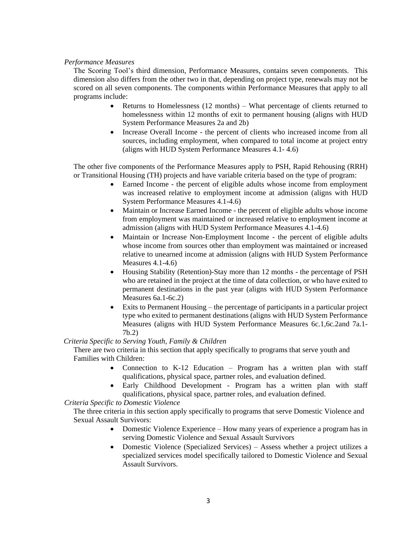#### *Performance Measures*

The Scoring Tool's third dimension, Performance Measures, contains seven components. This dimension also differs from the other two in that, depending on project type, renewals may not be scored on all seven components. The components within Performance Measures that apply to all programs include:

- Returns to Homelessness (12 months) What percentage of clients returned to homelessness within 12 months of exit to permanent housing (aligns with HUD System Performance Measures 2a and 2b)
- Increase Overall Income the percent of clients who increased income from all sources, including employment, when compared to total income at project entry (aligns with HUD System Performance Measures 4.1- 4.6)

The other five components of the Performance Measures apply to PSH, Rapid Rehousing (RRH) or Transitional Housing (TH) projects and have variable criteria based on the type of program:

- Earned Income the percent of eligible adults whose income from employment was increased relative to employment income at admission (aligns with HUD System Performance Measures 4.1-4.6)
- Maintain or Increase Earned Income the percent of eligible adults whose income from employment was maintained or increased relative to employment income at admission (aligns with HUD System Performance Measures 4.1-4.6)
- Maintain or Increase Non-Employment Income the percent of eligible adults whose income from sources other than employment was maintained or increased relative to unearned income at admission (aligns with HUD System Performance Measures 4.1-4.6)
- Housing Stability (Retention)-Stay more than 12 months the percentage of PSH who are retained in the project at the time of data collection, or who have exited to permanent destinations in the past year (aligns with HUD System Performance Measures 6a.1-6c.2)
- Exits to Permanent Housing the percentage of participants in a particular project type who exited to permanent destinations (aligns with HUD System Performance Measures (aligns with HUD System Performance Measures 6c.1,6c.2and 7a.1- 7b.2)

## *Criteria Specific to Serving Youth, Family & Children*

There are two criteria in this section that apply specifically to programs that serve youth and Families with Children:

- Connection to K-12 Education Program has a written plan with staff qualifications, physical space, partner roles, and evaluation defined.
- Early Childhood Development Program has a written plan with staff qualifications, physical space, partner roles, and evaluation defined.

## *Criteria Specific to Domestic Violence*

The three criteria in this section apply specifically to programs that serve Domestic Violence and Sexual Assault Survivors:

- Domestic Violence Experience How many years of experience a program has in serving Domestic Violence and Sexual Assault Survivors
- Domestic Violence (Specialized Services) Assess whether a project utilizes a specialized services model specifically tailored to Domestic Violence and Sexual Assault Survivors.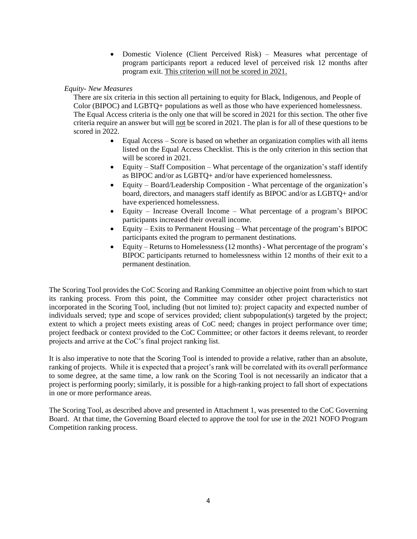• Domestic Violence (Client Perceived Risk) – Measures what percentage of program participants report a reduced level of perceived risk 12 months after program exit. This criterion will not be scored in 2021.

## *Equity- New Measures*

There are six criteria in this section all pertaining to equity for Black, Indigenous, and People of Color (BIPOC) and LGBTQ+ populations as well as those who have experienced homelessness. The Equal Access criteria is the only one that will be scored in 2021 for this section. The other five criteria require an answer but will not be scored in 2021. The plan is for all of these questions to be scored in 2022.

- Equal Access Score is based on whether an organization complies with all items listed on the Equal Access Checklist. This is the only criterion in this section that will be scored in 2021.
- Equity Staff Composition What percentage of the organization's staff identify as BIPOC and/or as LGBTQ+ and/or have experienced homelessness.
- Equity Board/Leadership Composition What percentage of the organization's board, directors, and managers staff identify as BIPOC and/or as LGBTQ+ and/or have experienced homelessness.
- Equity Increase Overall Income What percentage of a program's BIPOC participants increased their overall income.
- Equity Exits to Permanent Housing What percentage of the program's BIPOC participants exited the program to permanent destinations.
- Equity Returns to Homelessness (12 months) What percentage of the program's BIPOC participants returned to homelessness within 12 months of their exit to a permanent destination.

The Scoring Tool provides the CoC Scoring and Ranking Committee an objective point from which to start its ranking process. From this point, the Committee may consider other project characteristics not incorporated in the Scoring Tool, including (but not limited to): project capacity and expected number of individuals served; type and scope of services provided; client subpopulation(s) targeted by the project; extent to which a project meets existing areas of CoC need; changes in project performance over time; project feedback or context provided to the CoC Committee; or other factors it deems relevant, to reorder projects and arrive at the CoC's final project ranking list.

It is also imperative to note that the Scoring Tool is intended to provide a relative, rather than an absolute, ranking of projects. While it is expected that a project's rank will be correlated with its overall performance to some degree, at the same time, a low rank on the Scoring Tool is not necessarily an indicator that a project is performing poorly; similarly, it is possible for a high-ranking project to fall short of expectations in one or more performance areas.

The Scoring Tool, as described above and presented in Attachment 1, was presented to the CoC Governing Board. At that time, the Governing Board elected to approve the tool for use in the 2021 NOFO Program Competition ranking process.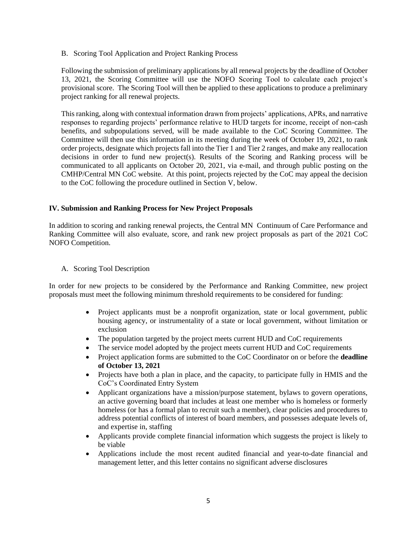B. Scoring Tool Application and Project Ranking Process

Following the submission of preliminary applications by all renewal projects by the deadline of October 13, 2021, the Scoring Committee will use the NOFO Scoring Tool to calculate each project's provisional score. The Scoring Tool will then be applied to these applications to produce a preliminary project ranking for all renewal projects.

This ranking, along with contextual information drawn from projects' applications, APRs, and narrative responses to regarding projects' performance relative to HUD targets for income, receipt of non-cash benefits, and subpopulations served, will be made available to the CoC Scoring Committee. The Committee will then use this information in its meeting during the week of October 19, 2021, to rank order projects, designate which projects fall into the Tier 1 and Tier 2 ranges, and make any reallocation decisions in order to fund new project(s). Results of the Scoring and Ranking process will be communicated to all applicants on October 20, 2021, via e-mail, and through public posting on the CMHP/Central MN CoC website. At this point, projects rejected by the CoC may appeal the decision to the CoC following the procedure outlined in Section V, below.

## **IV. Submission and Ranking Process for New Project Proposals**

In addition to scoring and ranking renewal projects, the Central MN Continuum of Care Performance and Ranking Committee will also evaluate, score, and rank new project proposals as part of the 2021 CoC NOFO Competition.

A. Scoring Tool Description

In order for new projects to be considered by the Performance and Ranking Committee, new project proposals must meet the following minimum threshold requirements to be considered for funding:

- Project applicants must be a nonprofit organization, state or local government, public housing agency, or instrumentality of a state or local government, without limitation or exclusion
- The population targeted by the project meets current HUD and CoC requirements
- The service model adopted by the project meets current HUD and CoC requirements
- Project application forms are submitted to the CoC Coordinator on or before the **deadline of October 13, 2021**
- Projects have both a plan in place, and the capacity, to participate fully in HMIS and the CoC's Coordinated Entry System
- Applicant organizations have a mission/purpose statement, bylaws to govern operations, an active governing board that includes at least one member who is homeless or formerly homeless (or has a formal plan to recruit such a member), clear policies and procedures to address potential conflicts of interest of board members, and possesses adequate levels of, and expertise in, staffing
- Applicants provide complete financial information which suggests the project is likely to be viable
- Applications include the most recent audited financial and year-to-date financial and management letter, and this letter contains no significant adverse disclosures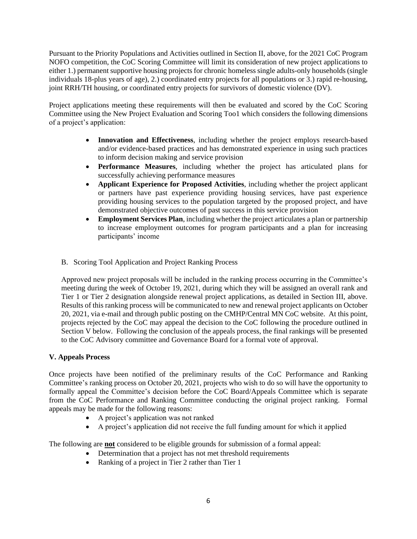Pursuant to the Priority Populations and Activities outlined in Section II, above, for the 2021 CoC Program NOFO competition, the CoC Scoring Committee will limit its consideration of new project applications to either 1.) permanent supportive housing projects for chronic homeless single adults-only households (single individuals 18-plus years of age), 2.) coordinated entry projects for all populations or 3.) rapid re-housing, joint RRH/TH housing, or coordinated entry projects for survivors of domestic violence (DV).

Project applications meeting these requirements will then be evaluated and scored by the CoC Scoring Committee using the New Project Evaluation and Scoring Too1 which considers the following dimensions of a project's application:

- **Innovation and Effectiveness**, including whether the project employs research-based and/or evidence-based practices and has demonstrated experience in using such practices to inform decision making and service provision
- **Performance Measures**, including whether the project has articulated plans for successfully achieving performance measures
- **Applicant Experience for Proposed Activities**, including whether the project applicant or partners have past experience providing housing services, have past experience providing housing services to the population targeted by the proposed project, and have demonstrated objective outcomes of past success in this service provision
- **Employment Services Plan**, including whether the project articulates a plan or partnership to increase employment outcomes for program participants and a plan for increasing participants' income
- B. Scoring Tool Application and Project Ranking Process

Approved new project proposals will be included in the ranking process occurring in the Committee's meeting during the week of October 19, 2021, during which they will be assigned an overall rank and Tier 1 or Tier 2 designation alongside renewal project applications, as detailed in Section III, above. Results of this ranking process will be communicated to new and renewal project applicants on October 20, 2021, via e-mail and through public posting on the CMHP/Central MN CoC website. At this point, projects rejected by the CoC may appeal the decision to the CoC following the procedure outlined in Section V below. Following the conclusion of the appeals process, the final rankings will be presented to the CoC Advisory committee and Governance Board for a formal vote of approval.

## **V. Appeals Process**

Once projects have been notified of the preliminary results of the CoC Performance and Ranking Committee's ranking process on October 20, 2021, projects who wish to do so will have the opportunity to formally appeal the Committee's decision before the CoC Board/Appeals Committee which is separate from the CoC Performance and Ranking Committee conducting the original project ranking. Formal appeals may be made for the following reasons:

- A project's application was not ranked
- A project's application did not receive the full funding amount for which it applied

The following are **not** considered to be eligible grounds for submission of a formal appeal:

- Determination that a project has not met threshold requirements
- Ranking of a project in Tier 2 rather than Tier 1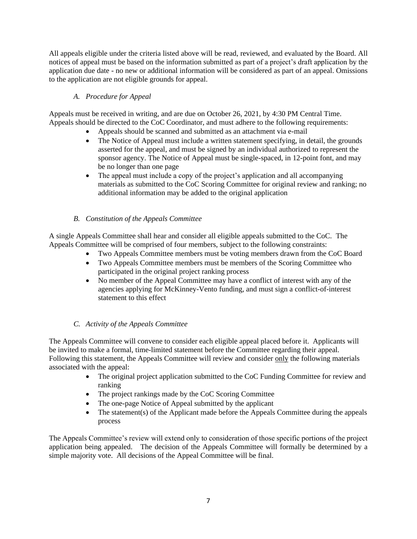All appeals eligible under the criteria listed above will be read, reviewed, and evaluated by the Board. All notices of appeal must be based on the information submitted as part of a project's draft application by the application due date - no new or additional information will be considered as part of an appeal. Omissions to the application are not eligible grounds for appeal.

## *A. Procedure for Appeal*

Appeals must be received in writing, and are due on October 26, 2021, by 4:30 PM Central Time. Appeals should be directed to the CoC Coordinator, and must adhere to the following requirements:

- Appeals should be scanned and submitted as an attachment via e-mail
- The Notice of Appeal must include a written statement specifying, in detail, the grounds asserted for the appeal, and must be signed by an individual authorized to represent the sponsor agency. The Notice of Appeal must be single-spaced, in 12-point font, and may be no longer than one page
- The appeal must include a copy of the project's application and all accompanying materials as submitted to the CoC Scoring Committee for original review and ranking; no additional information may be added to the original application

## *B. Constitution of the Appeals Committee*

A single Appeals Committee shall hear and consider all eligible appeals submitted to the CoC. The Appeals Committee will be comprised of four members, subject to the following constraints:

- Two Appeals Committee members must be voting members drawn from the CoC Board
- Two Appeals Committee members must be members of the Scoring Committee who participated in the original project ranking process
- No member of the Appeal Committee may have a conflict of interest with any of the agencies applying for McKinney-Vento funding, and must sign a conflict-of-interest statement to this effect

## *C. Activity of the Appeals Committee*

The Appeals Committee will convene to consider each eligible appeal placed before it. Applicants will be invited to make a formal, time-limited statement before the Committee regarding their appeal. Following this statement, the Appeals Committee will review and consider only the following materials associated with the appeal:

- The original project application submitted to the CoC Funding Committee for review and ranking
- The project rankings made by the CoC Scoring Committee
- The one-page Notice of Appeal submitted by the applicant
- The statement(s) of the Applicant made before the Appeals Committee during the appeals process

The Appeals Committee's review will extend only to consideration of those specific portions of the project application being appealed. The decision of the Appeals Committee will formally be determined by a simple majority vote. All decisions of the Appeal Committee will be final.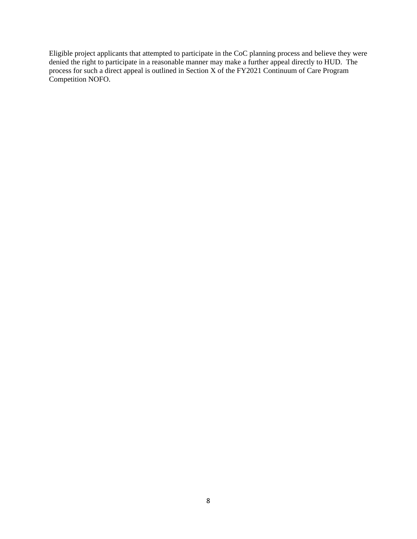Eligible project applicants that attempted to participate in the CoC planning process and believe they were denied the right to participate in a reasonable manner may make a further appeal directly to HUD. The process for such a direct appeal is outlined in Section X of the FY2021 Continuum of Care Program Competition NOFO.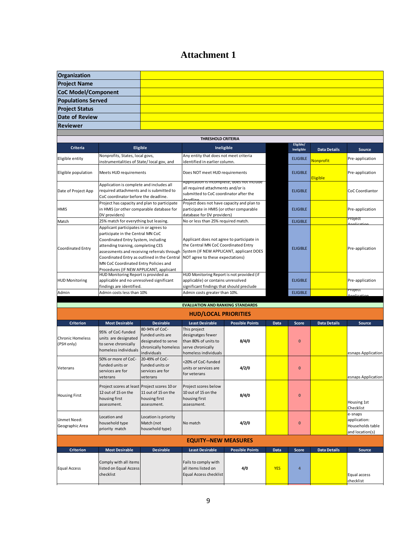# **Attachment 1**

| Organization                           |                                                                                                                                                                                                                                                                                                                                             |                                                                                |                                                                                                                                                                    |                        |                 |                 |                     |                                                                |  |  |  |
|----------------------------------------|---------------------------------------------------------------------------------------------------------------------------------------------------------------------------------------------------------------------------------------------------------------------------------------------------------------------------------------------|--------------------------------------------------------------------------------|--------------------------------------------------------------------------------------------------------------------------------------------------------------------|------------------------|-----------------|-----------------|---------------------|----------------------------------------------------------------|--|--|--|
| <b>Project Name</b>                    |                                                                                                                                                                                                                                                                                                                                             |                                                                                |                                                                                                                                                                    |                        |                 |                 |                     |                                                                |  |  |  |
| <b>CoC Model/Component</b>             |                                                                                                                                                                                                                                                                                                                                             |                                                                                |                                                                                                                                                                    |                        |                 |                 |                     |                                                                |  |  |  |
| <b>Populations Served</b>              |                                                                                                                                                                                                                                                                                                                                             |                                                                                |                                                                                                                                                                    |                        |                 |                 |                     |                                                                |  |  |  |
| <b>Project Status</b>                  |                                                                                                                                                                                                                                                                                                                                             |                                                                                |                                                                                                                                                                    |                        |                 |                 |                     |                                                                |  |  |  |
| <b>Date of Review</b>                  |                                                                                                                                                                                                                                                                                                                                             |                                                                                |                                                                                                                                                                    |                        |                 |                 |                     |                                                                |  |  |  |
| <b>Reviewer</b>                        |                                                                                                                                                                                                                                                                                                                                             |                                                                                |                                                                                                                                                                    |                        |                 |                 |                     |                                                                |  |  |  |
|                                        |                                                                                                                                                                                                                                                                                                                                             |                                                                                |                                                                                                                                                                    |                        |                 |                 |                     |                                                                |  |  |  |
| <b>THRESHOLD CRITERIA</b><br>Eligible/ |                                                                                                                                                                                                                                                                                                                                             |                                                                                |                                                                                                                                                                    |                        |                 |                 |                     |                                                                |  |  |  |
| <b>Criteria</b>                        |                                                                                                                                                                                                                                                                                                                                             | <b>Eligible</b>                                                                | Ineligible                                                                                                                                                         |                        |                 | Ineligible      | <b>Data Details</b> | Source                                                         |  |  |  |
| Eligible entity                        | Nonprofits, States, local govs,<br>instrumentalities of State/local gov, and                                                                                                                                                                                                                                                                |                                                                                | Any entity that does not meet criteria<br>identified in earlier column.                                                                                            |                        |                 | <b>ELIGIBLE</b> | Nonprofit           | Pre-application                                                |  |  |  |
| Eligible population                    | Meets HUD requirements                                                                                                                                                                                                                                                                                                                      |                                                                                | Does NOT meet HUD requirements                                                                                                                                     |                        |                 | <b>ELIGIBLE</b> |                     | Pre-application                                                |  |  |  |
|                                        | Application is complete and includes all                                                                                                                                                                                                                                                                                                    |                                                                                | Application is incomplete, does not include                                                                                                                        |                        |                 | Eligible        |                     |                                                                |  |  |  |
| Date of Project App                    | required attachments and is submitted to                                                                                                                                                                                                                                                                                                    |                                                                                | all required attachments and/or is<br>submitted to CoC coordinator after the                                                                                       |                        |                 | <b>ELIGIBLE</b> |                     | CoC Coordiantor                                                |  |  |  |
|                                        | CoC coordinator before the deadline.                                                                                                                                                                                                                                                                                                        |                                                                                |                                                                                                                                                                    |                        |                 |                 |                     |                                                                |  |  |  |
| hmis                                   | Project has capacity and plan to participate<br>in HMIS (or other comparable database for<br>DV providers)                                                                                                                                                                                                                                  |                                                                                | Project does not have capacity and plan to<br>participate in HMIS (or other comparable<br>database for DV providers)                                               |                        | <b>ELIGIBLE</b> |                 | Pre-application     |                                                                |  |  |  |
| Match                                  | 25% match for everything but leasing.                                                                                                                                                                                                                                                                                                       |                                                                                | No or less than 25% required match.                                                                                                                                |                        |                 | <b>ELIGIBLE</b> |                     | Project                                                        |  |  |  |
| Coordinated Entry                      | Applicant participates in or agrees to<br>participate in the Central MN CoC<br>Coordinated Entry System, including<br>attending training, completing CES<br>assessments and receiving referrals through<br>Coordinated Entry as outlined in the Central<br>MN CoC Coordinated Entry Policies and<br>Procedures (IF NEW APPLICANT, applicant |                                                                                | Applicant does not agree to participate in<br>the Central MN CoC Coordinated Entry<br>System (IF NEW APPLICANT, applicant DOES<br>NOT agree to these expectations) |                        | <b>ELIGIBLE</b> |                 | Pre-application     |                                                                |  |  |  |
| <b>HUD Monitoring</b>                  | HUD Monitoring Report is provided as<br>applicable and no unresolved significant                                                                                                                                                                                                                                                            |                                                                                | HUD Monitoring Report is not provided (if<br>applicable) or contains unresolved                                                                                    |                        | <b>ELIGIBLE</b> |                 | Pre-application     |                                                                |  |  |  |
| Admin                                  | findings are identified.<br>Admin costs less than 10%                                                                                                                                                                                                                                                                                       |                                                                                | significant findings that should preclude<br>Admin costs greater than 10%.                                                                                         |                        | <b>ELIGIBLE</b> |                 | rroject             |                                                                |  |  |  |
|                                        |                                                                                                                                                                                                                                                                                                                                             |                                                                                |                                                                                                                                                                    |                        |                 |                 |                     |                                                                |  |  |  |
|                                        |                                                                                                                                                                                                                                                                                                                                             |                                                                                | <b>EVALUATION AND RANKING STANDARDS</b>                                                                                                                            |                        |                 |                 |                     |                                                                |  |  |  |
|                                        |                                                                                                                                                                                                                                                                                                                                             |                                                                                | <b>HUD/LOCAL PRIORITIES</b>                                                                                                                                        |                        |                 |                 |                     |                                                                |  |  |  |
| <b>Criterion</b>                       | <b>Most Desirable</b>                                                                                                                                                                                                                                                                                                                       | <b>Desirable</b><br>80-94% of CoC-                                             | <b>Least Desirable</b><br>This project                                                                                                                             | <b>Possible Points</b> | Data            | <b>Score</b>    | <b>Data Details</b> | <b>Source</b>                                                  |  |  |  |
| <b>Chronic Homeless</b><br>(PSH only)  | 95% of CoC-funded<br>units are designated<br>to serve chronically<br>homeless individuals                                                                                                                                                                                                                                                   | funded units are<br>designated to serve<br>chronically homeless<br>individuals | designatges fewer<br>than 80% of units to<br>serve chronically<br>homeless individuals                                                                             | 8/4/0                  |                 | $\bf{0}$        |                     | esnaps Application                                             |  |  |  |
| Veterans                               | 50% or more of CoC-<br>funded units or<br>services are for<br>veterans                                                                                                                                                                                                                                                                      | 20-49% of CoC-<br>funded units or<br>services are for<br>veterans              | <20% of CoC-funded<br>units or services are<br>for veterans                                                                                                        | 4/2/0                  |                 | $\bf{0}$        |                     | esnaps Application                                             |  |  |  |
| <b>Housing First</b>                   | Project scores at least Project scores 10 or<br>12 out of 15 on the<br>housing first<br>assessment.                                                                                                                                                                                                                                         | 11 out of 15 on the<br>housing first<br>assessment.                            | Project scores below<br>10 out of 15 on the<br>housing first<br>assessment.                                                                                        | 8/4/0                  |                 | $\bf{0}$        |                     | Housing 1st<br>Checklist                                       |  |  |  |
| Unmet Need:<br>Geographic Area         | Location and<br>household type<br>priority match                                                                                                                                                                                                                                                                                            | Location is priority<br>Match (not<br>household type)                          | No match                                                                                                                                                           | 4/2/0                  |                 | $\bf{0}$        |                     | e-snaps<br>application:<br>Households table<br>and location(s) |  |  |  |
|                                        |                                                                                                                                                                                                                                                                                                                                             |                                                                                | <b>EQUITY--NEW MEASURES</b>                                                                                                                                        |                        |                 |                 |                     |                                                                |  |  |  |
| <b>Criterion</b>                       | <b>Most Desirable</b>                                                                                                                                                                                                                                                                                                                       | <b>Desirable</b>                                                               | <b>Least Desirable</b>                                                                                                                                             | <b>Possible Points</b> | Data            | <b>Score</b>    | <b>Data Details</b> | Source                                                         |  |  |  |
| <b>Equal Access</b>                    | Comply with all items<br>listed on Equal Access<br>checklist                                                                                                                                                                                                                                                                                |                                                                                | Fails to comply with<br>all items listed on<br>Equal Access checklist                                                                                              | 4/0                    | <b>YES</b>      | 4               |                     | Equal access<br>checklist                                      |  |  |  |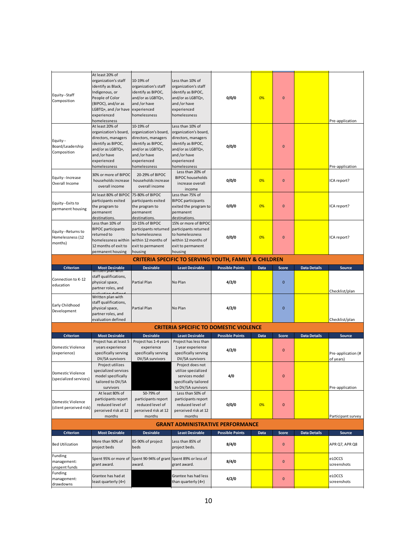| Equity--Staff<br>Composition                      | At least 20% of<br>organization's staff<br>identify as Black,<br>Indigenous, or<br>People of Color<br>(BIPOC), and/or as<br>LGBTQ+, and /or have experienced<br>experienced<br>homelessness | 10-19% of<br>organization's staff<br>identify as BIPOC,<br>and/or as LGBTQ+,<br>and /or have<br>homelessness                                        | Less than 10% of<br>organization's staff<br>identify as BIPOC,<br>and/or as LGBTQ+,<br>and /or have<br>experienced<br>homelessness                         | 0/0/0                  | 0%   | $\bf{0}$     |                     | Pre-application                 |
|---------------------------------------------------|---------------------------------------------------------------------------------------------------------------------------------------------------------------------------------------------|-----------------------------------------------------------------------------------------------------------------------------------------------------|------------------------------------------------------------------------------------------------------------------------------------------------------------|------------------------|------|--------------|---------------------|---------------------------------|
| Equity--<br>Board/Leadership<br>Composition       | At least 20% of<br>organization's board,<br>directors, managers<br>identify as BIPOC,<br>and/or as LGBTQ+,<br>and /or have<br>experienced<br>homelessness                                   | 10-19% of<br>organization's board,<br>directors, managers<br>identify as BIPOC,<br>and/or as LGBTQ+,<br>and /or have<br>experienced<br>homelessness | Less than 10% of<br>organization's board,<br>directors, managers<br>identify as BIPOC,<br>and/or as LGBTQ+,<br>and /or have<br>experienced<br>homelessness | 0/0/0                  |      | $\mathbf{0}$ |                     | Pre-application                 |
| Equity--Increase<br>Overall Income                | 30% or more of BIPOC<br>households increase<br>overall income                                                                                                                               | 20-29% of BIPOC<br>households increase<br>overall income                                                                                            | Less than 20% of<br><b>BIPOC</b> households<br>increase overall<br>income                                                                                  | 0/0/0                  | 0%   | $\bf{0}$     |                     | ICA report?                     |
| Equity--Exits to<br>permanent housing             | At least 80% of BIPOC<br>participants exited<br>the program to<br>permanent<br>destinations.                                                                                                | 75-80% of BIPOC<br>participants exited<br>the program to<br>permanent<br>destinations.                                                              | Less than 75% of<br><b>BIPOC</b> participants<br>exited the program to<br>permanent<br>destinations.                                                       | 0/0/0                  | 0%   | $\bf{0}$     |                     | ICA report?                     |
| Equity--Returns to<br>Homelessness (12<br>months) | Less than 10% of<br><b>BIPOC</b> participants<br>returned to<br>homelessness within<br>12 months of exit to<br>permanent housing                                                            | 10-15% of BIPOC<br>participants returned<br>to homelessness<br>within 12 months of<br>exit to permanent<br>housing                                  | 15% or more of BIPOC<br>participants returned<br>to homelessness<br>within 12 months of<br>exit to permanent<br>housing                                    | 0/0/0                  | 0%   | $\bf{0}$     |                     | ICA report?                     |
|                                                   |                                                                                                                                                                                             |                                                                                                                                                     | <b>CRITERIA SPECIFIC TO SERVING YOUTH, FAMILY &amp; CHILDREN</b>                                                                                           |                        |      |              |                     |                                 |
| <b>Criterion</b>                                  | <b>Most Desirable</b><br>viitteir piari with                                                                                                                                                | <b>Desirable</b>                                                                                                                                    | <b>Least Desirable</b>                                                                                                                                     | <b>Possible Points</b> | Data | <b>Score</b> | <b>Data Details</b> | <b>Source</b>                   |
| Connection to K-12<br>education                   | staff qualifications,<br>physical space,<br>partner roles, and                                                                                                                              | Partial Plan                                                                                                                                        | No Plan                                                                                                                                                    | 4/2/0                  |      | $\mathbf{0}$ |                     | Checklist/plan                  |
| Early Childhood<br>Development                    | Written plan with<br>staff qualifications,<br>physical space,<br>partner roles, and<br>evaluation defined                                                                                   | Partial Plan                                                                                                                                        | No Plan                                                                                                                                                    | 4/2/0                  |      | $\mathbf{0}$ |                     | Checklist/plan                  |
|                                                   |                                                                                                                                                                                             |                                                                                                                                                     | <b>CRITERIA SPECIFIC TO DOMESTIC VIOLENCE</b>                                                                                                              |                        |      |              |                     |                                 |
| <b>Criterion</b>                                  | <b>Most Desirable</b>                                                                                                                                                                       | <b>Desirable</b>                                                                                                                                    | <b>Least Desirable</b>                                                                                                                                     | <b>Possible Points</b> | Data | Score        | <b>Data Details</b> | <b>Source</b>                   |
| <b>Domestic Violence</b><br>(experience)          | Project has at least 5<br>years experience<br>specifically serving<br>DV/SA survivors                                                                                                       | Project has 1-4 years<br>experience<br>specifically serving<br>DV/SA survivors                                                                      | Project has less than<br>1 year experience<br>specifically serving<br>DV/SA survivors                                                                      | 4/2/0                  |      | $\mathbf{0}$ |                     | Pre-application (#<br>of years) |
| Domestic Violence<br>(specialized services)       | Project utilizes<br>specialized services<br>model specifically<br>tailored to DV/SA<br>survivors                                                                                            |                                                                                                                                                     | Project does not<br>utilize specialized<br>services model<br>specifically tailored<br>to DV/SA survivors                                                   | 4/0                    |      | $\pmb{0}$    |                     | Pre-application                 |
| Domestic Violence<br>(client perceived risk)      | At least 80% of<br>participants report<br>reduced level of<br>perceived risk at 12<br>months                                                                                                | 50-79% of<br>participants report<br>reduced level of<br>perceived risk at 12<br>months                                                              | Less than 50% of<br>participants report<br>reduced level of<br>perceived risk at 12<br>months                                                              | 0/0/0                  | 0%   | $\pmb{0}$    |                     | Participant survey              |
|                                                   |                                                                                                                                                                                             |                                                                                                                                                     | <b>GRANT ADMINISTRATIVE PERFORMANCE</b>                                                                                                                    |                        |      |              |                     |                                 |
| <b>Criterion</b>                                  | <b>Most Desirable</b>                                                                                                                                                                       | <b>Desirable</b>                                                                                                                                    | <b>Least Desirable</b>                                                                                                                                     | <b>Possible Points</b> | Data | <b>Score</b> | <b>Data Details</b> | Source                          |
| <b>Bed Utilization</b>                            | More than 90% of<br>project beds                                                                                                                                                            | 85-90% of project<br>beds                                                                                                                           | Less than 85% of<br>project beds.                                                                                                                          | 8/4/0                  |      | $\bf{0}$     |                     | APR Q7, APR Q8                  |
| Funding<br>management:<br>unspent funds           | grant award.                                                                                                                                                                                | Spent 95% or more of Spent 90-94% of grant Spent 89% or less of<br>award.                                                                           | grant award.                                                                                                                                               | 8/4/0                  |      | $\bf{0}$     |                     | eLOCCS<br>screenshots           |
| Funding<br>management:<br>drawdowns               | Grantee has had at<br>least quarterly (4+)                                                                                                                                                  |                                                                                                                                                     | Grantee has had less<br>than quarterly (4+)                                                                                                                | 4/2/0                  |      | $\pmb{0}$    |                     | eLOCCS<br>screenshots           |